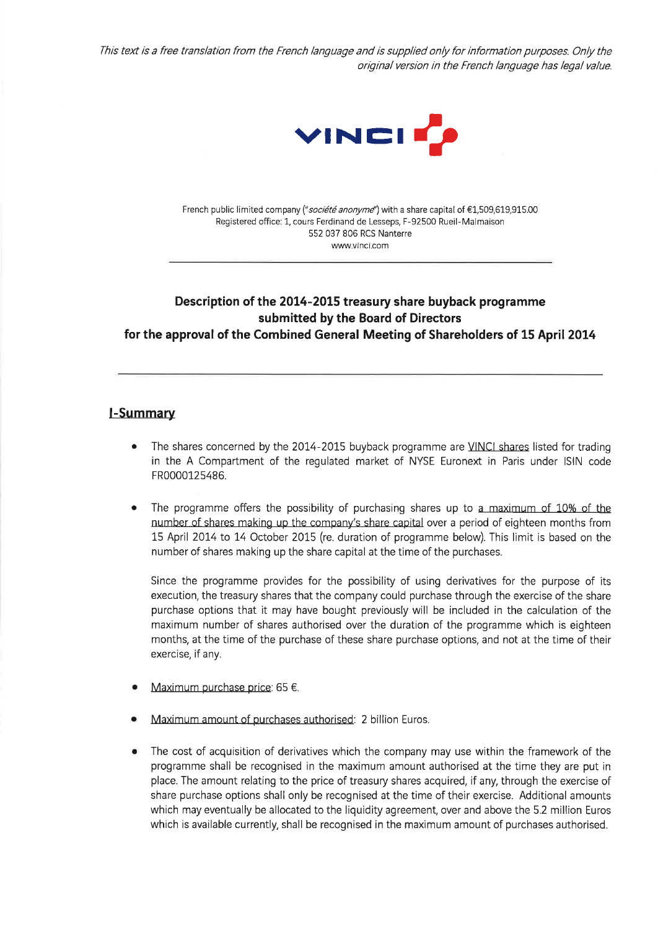This text is a free translation from the French language and is supplied only for information purposes. Only the original version in the French language has legal value.



French public limited company ("société anonyme") with a share capital of €1,509,619,915.00 Registered office: 1, cours Ferdinand de Lesseps, F-92500 Rueil-Malmaison 552 037 806 RCS Nanterre www.vinci.com

# Description of the 2014-2015 treasury share buyback programme submitted by the Board of Directors for the approval of the Combined General Meeting of Shareholders of 15 April 2014

#### **I-Summary**

- The shares concerned by the 2014-2015 buyback programme are VINCI shares listed for trading  $\bullet$ in the A Compartment of the regulated market of NYSE Euronext in Paris under ISIN code FR0000125486.
- The programme offers the possibility of purchasing shares up to a maximum of 10% of the number of shares making up the company's share capital over a period of eighteen months from 15 April 2014 to 14 October 2015 (re. duration of programme below). This limit is based on the number of shares making up the share capital at the time of the purchases.

Since the programme provides for the possibility of using derivatives for the purpose of its execution, the treasury shares that the company could purchase through the exercise of the share purchase options that it may have bought previously will be included in the calculation of the maximum number of shares authorised over the duration of the programme which is eighteen months, at the time of the purchase of these share purchase options, and not at the time of their exercise, if any.

- Maximum purchase price: 65 €.
- Maximum amount of purchases authorised: 2 billion Euros.
- The cost of acquisition of derivatives which the company may use within the framework of the programme shall be recognised in the maximum amount authorised at the time they are put in place. The amount relating to the price of treasury shares acquired, if any, through the exercise of share purchase options shall only be recognised at the time of their exercise. Additional amounts which may eventually be allocated to the liquidity agreement, over and above the 5.2 million Euros which is available currently, shall be recognised in the maximum amount of purchases authorised.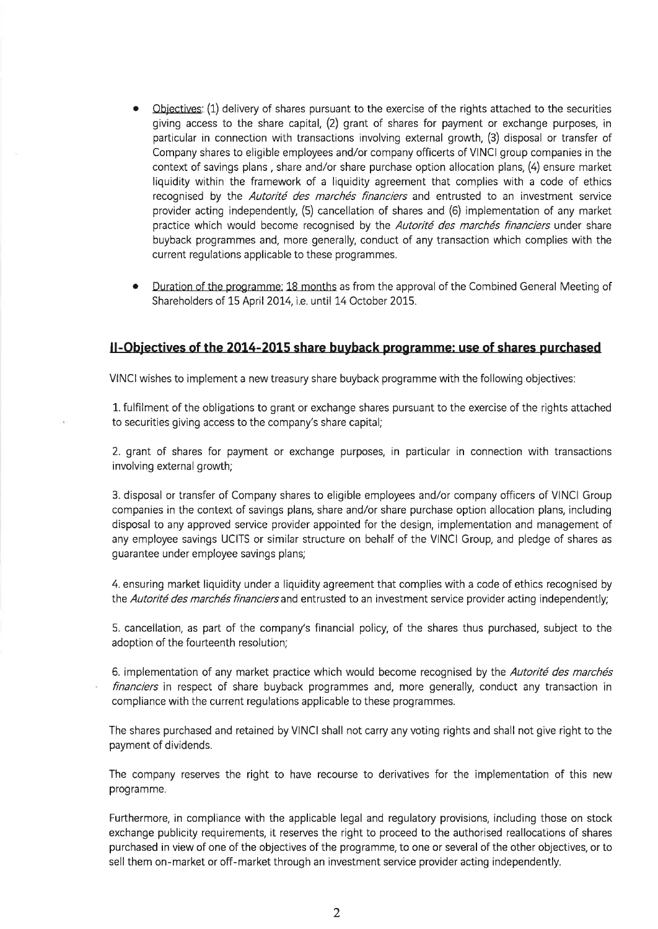- Objectives: (1) delivery of shares pursuant to the exercise of the rights attached to the securities giving access to the share capital, (2) grant of shares for payment or exchange purposes, in particular in connection with transactions involving external growth, (3) disposal or transfer of Company shares to eligible employees and/or company officerts of VINCI group companies in the context of savings plans, share and/or share purchase option allocation plans, (4) ensure market liquidity within the framework of a liquidity agreement that complies with a code of ethics recognised by the Autorité des marchés financiers and entrusted to an investment service provider acting independently, (5) cancellation of shares and (6) implementation of any market practice which would become recognised by the Autorité des marchés financiers under share buyback programmes and, more generally, conduct of any transaction which complies with the current regulations applicable to these programmes.
- Duration of the programme: 18 months as from the approval of the Combined General Meeting of Shareholders of 15 April 2014, i.e. until 14 October 2015.

## II-Objectives of the 2014-2015 share buyback programme: use of shares purchased

VINCI wishes to implement a new treasury share buyback programme with the following objectives:

1. fulfilment of the obligations to grant or exchange shares pursuant to the exercise of the rights attached to securities giving access to the company's share capital;

2. grant of shares for payment or exchange purposes, in particular in connection with transactions involving external growth;

3. disposal or transfer of Company shares to eligible employees and/or company officers of VINCI Group companies in the context of savings plans, share and/or share purchase option allocation plans, including disposal to any approved service provider appointed for the design, implementation and management of any employee savings UCITS or similar structure on behalf of the VINCI Group, and pledge of shares as guarantee under employee savings plans;

4. ensuring market liquidity under a liquidity agreement that complies with a code of ethics recognised by the Autorité des marchés financiers and entrusted to an investment service provider acting independently;

5. cancellation, as part of the company's financial policy, of the shares thus purchased, subject to the adoption of the fourteenth resolution;

6. implementation of any market practice which would become recognised by the Autorité des marchés financiers in respect of share buyback programmes and, more generally, conduct any transaction in compliance with the current regulations applicable to these programmes.

The shares purchased and retained by VINCI shall not carry any voting rights and shall not give right to the payment of dividends.

The company reserves the right to have recourse to derivatives for the implementation of this new programme.

Furthermore, in compliance with the applicable legal and regulatory provisions, including those on stock exchange publicity requirements, it reserves the right to proceed to the authorised reallocations of shares purchased in view of one of the objectives of the programme, to one or several of the other objectives, or to sell them on-market or off-market through an investment service provider acting independently.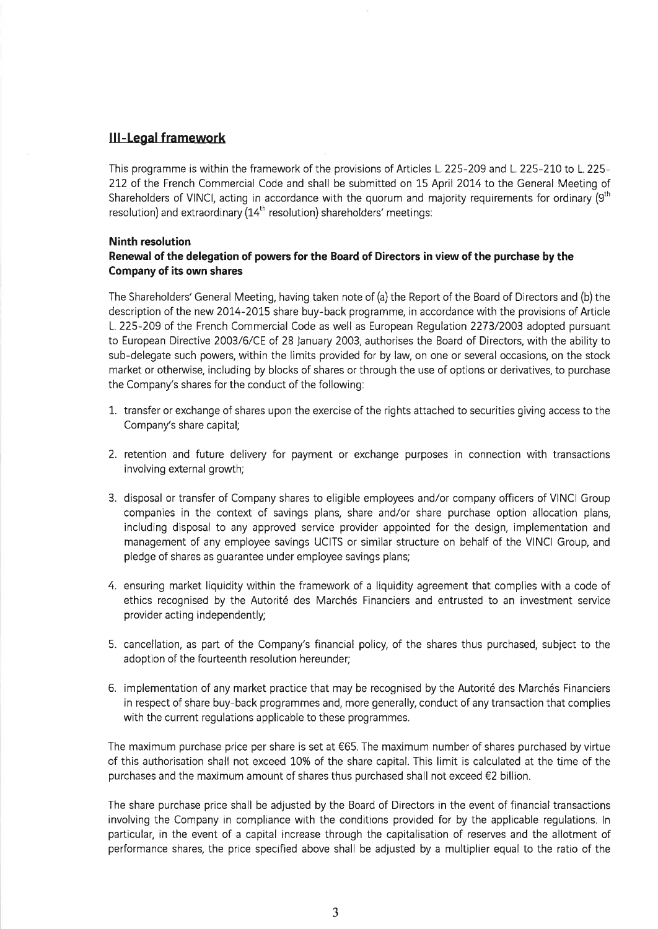### **III-Legal framework**

This programme is within the framework of the provisions of Articles L. 225-209 and L. 225-210 to L. 225-212 of the French Commercial Code and shall be submitted on 15 April 2014 to the General Meeting of Shareholders of VINCI, acting in accordance with the quorum and majority requirements for ordinary (9<sup>th</sup>) resolution) and extraordinary (14<sup>th</sup> resolution) shareholders' meetings:

#### **Ninth resolution**

#### Renewal of the delegation of powers for the Board of Directors in view of the purchase by the Company of its own shares

The Shareholders' General Meeting, having taken note of (a) the Report of the Board of Directors and (b) the description of the new 2014-2015 share buy-back programme, in accordance with the provisions of Article L. 225-209 of the French Commercial Code as well as European Regulation 2273/2003 adopted pursuant to European Directive 2003/6/CE of 28 January 2003, authorises the Board of Directors, with the ability to sub-delegate such powers, within the limits provided for by law, on one or several occasions, on the stock market or otherwise, including by blocks of shares or through the use of options or derivatives, to purchase the Company's shares for the conduct of the following:

- 1. transfer or exchange of shares upon the exercise of the rights attached to securities giving access to the Company's share capital;
- 2. retention and future delivery for payment or exchange purposes in connection with transactions involving external growth;
- 3. disposal or transfer of Company shares to eligible employees and/or company officers of VINCI Group companies in the context of savings plans, share and/or share purchase option allocation plans, including disposal to any approved service provider appointed for the design, implementation and management of any employee savings UCITS or similar structure on behalf of the VINCI Group, and pledge of shares as guarantee under employee savings plans;
- 4. ensuring market liquidity within the framework of a liquidity agreement that complies with a code of ethics recognised by the Autorité des Marchés Financiers and entrusted to an investment service provider acting independently;
- 5. cancellation, as part of the Company's financial policy, of the shares thus purchased, subject to the adoption of the fourteenth resolution hereunder;
- 6. implementation of any market practice that may be recognised by the Autorité des Marchés Financiers in respect of share buy-back programmes and, more generally, conduct of any transaction that complies with the current regulations applicable to these programmes.

The maximum purchase price per share is set at  $€65$ . The maximum number of shares purchased by virtue of this authorisation shall not exceed 10% of the share capital. This limit is calculated at the time of the purchases and the maximum amount of shares thus purchased shall not exceed €2 billion.

The share purchase price shall be adjusted by the Board of Directors in the event of financial transactions involving the Company in compliance with the conditions provided for by the applicable regulations. In particular, in the event of a capital increase through the capitalisation of reserves and the allotment of performance shares, the price specified above shall be adjusted by a multiplier equal to the ratio of the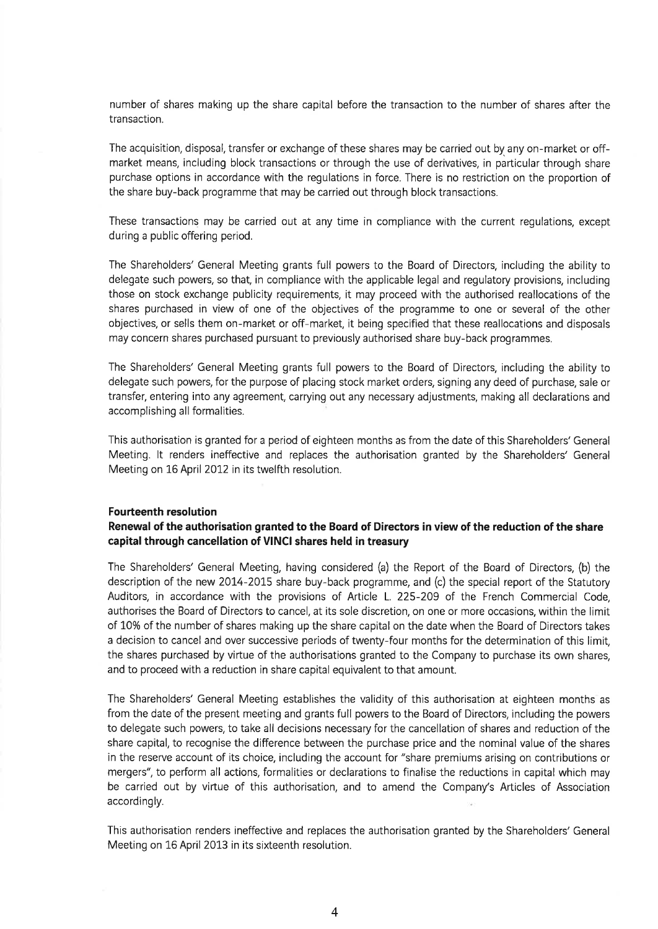number of shares making up the share capital before the transaction to the number of shares after the transaction.

The acquisition, disposal, transfer or exchange of these shares may be carried out by any on-market or offmarket means, including block transactions or through the use of derivatives, in particular through share purchase options in accordance with the regulations in force. There is no restriction on the proportion of the share buy-back programme that may be carried out through block transactions.

These transactions may be carried out at any time in compliance with the current requlations, except during a public offering period.

The Shareholders' General Meeting grants full powers to the Board of Directors, including the ability to delegate such powers, so that, in compliance with the applicable legal and regulatory provisions, including those on stock exchange publicity requirements, it may proceed with the authorised reallocations of the shares purchased in view of one of the objectives of the programme to one or several of the other objectives, or sells them on-market or off-market, it being specified that these reallocations and disposals may concern shares purchased pursuant to previously authorised share buy-back programmes.

The Shareholders' General Meeting grants full powers to the Board of Directors, including the ability to delegate such powers, for the purpose of placing stock market orders, signing any deed of purchase, sale or transfer, entering into any agreement, carrying out any necessary adjustments, making all declarations and accomplishing all formalities.

This authorisation is granted for a period of eighteen months as from the date of this Shareholders' General Meeting. It renders ineffective and replaces the authorisation granted by the Shareholders' General Meeting on 16 April 2012 in its twelfth resolution.

#### **Fourteenth resolution**

#### Renewal of the authorisation granted to the Board of Directors in view of the reduction of the share capital through cancellation of VINCI shares held in treasury

The Shareholders' General Meeting, having considered (a) the Report of the Board of Directors, (b) the description of the new 2014-2015 share buy-back programme, and (c) the special report of the Statutory Auditors, in accordance with the provisions of Article L. 225-209 of the French Commercial Code, authorises the Board of Directors to cancel, at its sole discretion, on one or more occasions, within the limit of 10% of the number of shares making up the share capital on the date when the Board of Directors takes a decision to cancel and over successive periods of twenty-four months for the determination of this limit, the shares purchased by virtue of the authorisations granted to the Company to purchase its own shares, and to proceed with a reduction in share capital equivalent to that amount.

The Shareholders' General Meeting establishes the validity of this authorisation at eighteen months as from the date of the present meeting and grants full powers to the Board of Directors, including the powers to delegate such powers, to take all decisions necessary for the cancellation of shares and reduction of the share capital, to recognise the difference between the purchase price and the nominal value of the shares in the reserve account of its choice, including the account for "share premiums arising on contributions or mergers", to perform all actions, formalities or declarations to finalise the reductions in capital which may be carried out by virtue of this authorisation, and to amend the Company's Articles of Association accordingly.

This authorisation renders ineffective and replaces the authorisation granted by the Shareholders' General Meeting on 16 April 2013 in its sixteenth resolution.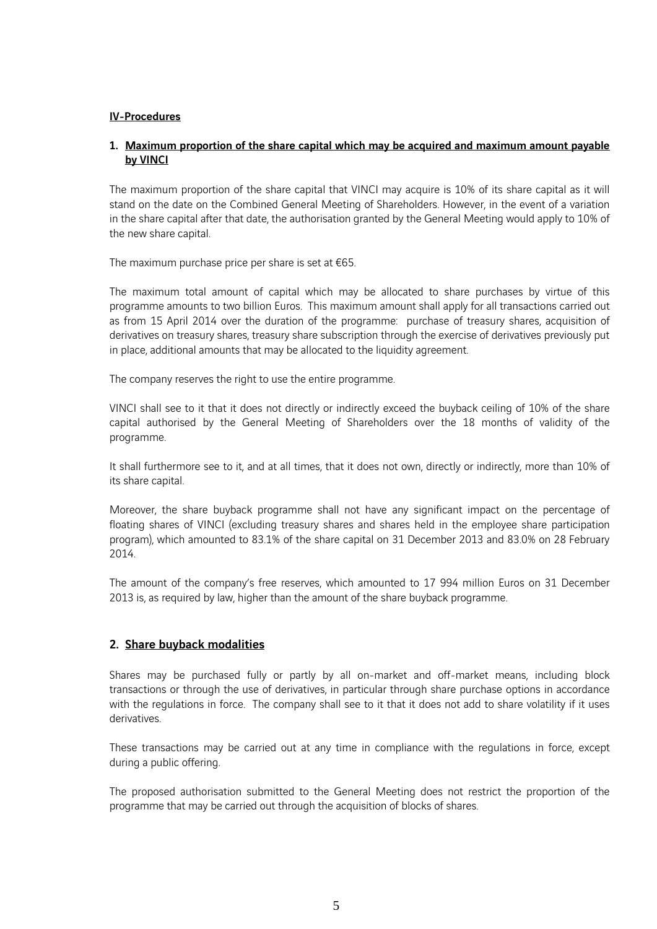#### IV-Procedures

### 1. Maximum proportion of the share capital which may be acquired and maximum amount payable by VINCI

The maximum proportion of the share capital that VINCI may acquire is 10% of its share capital as it will stand on the date on the Combined General Meeting of Shareholders. However, in the event of a variation in the share capital after that date, the authorisation granted by the General Meeting would apply to 10% of the new share capital.

The maximum purchase price per share is set at  $€65$ .

The maximum total amount of capital which may be allocated to share purchases by virtue of this programme amounts to two billion Euros. This maximum amount shall apply for all transactions carried out as from 15 April 2014 over the duration of the programme: purchase of treasury shares, acquisition of derivatives on treasury shares, treasury share subscription through the exercise of derivatives previously put in place, additional amounts that may be allocated to the liquidity agreement.

The company reserves the right to use the entire programme.

VINCI shall see to it that it does not directly or indirectly exceed the buyback ceiling of 10% of the share capital authorised by the General Meeting of Shareholders over the 18 months of validity of the programme.

It shall furthermore see to it, and at all times, that it does not own, directly or indirectly, more than 10% of its share capital.

Moreover, the share buyback programme shall not have any significant impact on the percentage of floating shares of VINCI (excluding treasury shares and shares held in the employee share participation program), which amounted to 83.1% of the share capital on 31 December 2013 and 83.0% on 28 February 2014.

The amount of the company's free reserves, which amounted to 17 994 million Euros on 31 December 2013 is, as required by law, higher than the amount of the share buyback programme.

## 2. Share buyback modalities

Shares may be purchased fully or partly by all on-market and off-market means, including block transactions or through the use of derivatives, in particular through share purchase options in accordance with the regulations in force. The company shall see to it that it does not add to share volatility if it uses derivatives.

These transactions may be carried out at any time in compliance with the regulations in force, except during a public offering.

The proposed authorisation submitted to the General Meeting does not restrict the proportion of the programme that may be carried out through the acquisition of blocks of shares.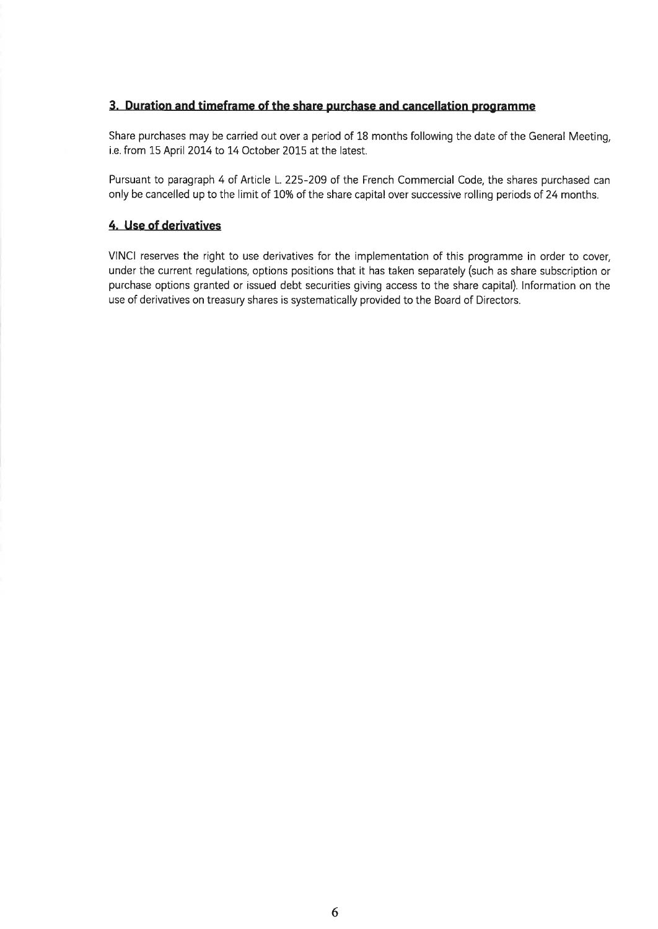## 3. Duration and timeframe of the share purchase and cancellation programme

Share purchases may be carried out over a period of 18 months following the date of the General Meeting, i.e. from 15 April 2014 to 14 October 2015 at the latest.

Pursuant to paragraph 4 of Article L. 225-209 of the French Commercial Code, the shares purchased can only be cancelled up to the limit of 10% of the share capital over successive rolling periods of 24 months.

## 4. Use of derivatives

VINCI reserves the right to use derivatives for the implementation of this programme in order to cover, under the current regulations, options positions that it has taken separately (such as share subscription or purchase options granted or issued debt securities giving access to the share capital). Information on the use of derivatives on treasury shares is systematically provided to the Board of Directors.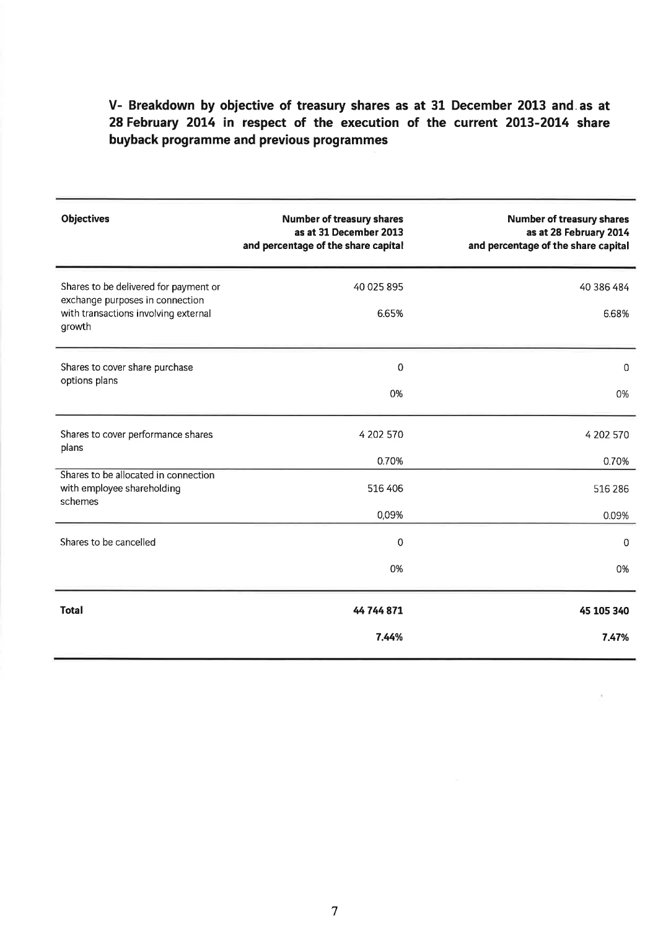# V- Breakdown by objective of treasury shares as at 31 December 2013 and as at 28 February 2014 in respect of the execution of the current 2013-2014 share buyback programme and previous programmes

| <b>Objectives</b>                                                                                                          | <b>Number of treasury shares</b><br>as at 31 December 2013<br>and percentage of the share capital | <b>Number of treasury shares</b><br>as at 28 February 2014<br>and percentage of the share capital |
|----------------------------------------------------------------------------------------------------------------------------|---------------------------------------------------------------------------------------------------|---------------------------------------------------------------------------------------------------|
| Shares to be delivered for payment or<br>exchange purposes in connection<br>with transactions involving external<br>growth | 40 025 895<br>6.65%                                                                               | 40 386 484<br>6.68%                                                                               |
| Shares to cover share purchase<br>options plans                                                                            | 0<br>0%                                                                                           | 0<br>0%                                                                                           |
| Shares to cover performance shares<br>plans                                                                                | 4 202 570<br>0.70%                                                                                | 4 202 570<br>0.70%                                                                                |
| Shares to be allocated in connection<br>with employee shareholding<br>schemes                                              | 516 406<br>0,09%                                                                                  | 516 286<br>0.09%                                                                                  |
| Shares to be cancelled                                                                                                     | $\mathbf 0$<br>0%                                                                                 | $\mathbf 0$<br>0%                                                                                 |
| <b>Total</b>                                                                                                               | 44 744 871<br>7.44%                                                                               | 45 105 340<br>7.47%                                                                               |